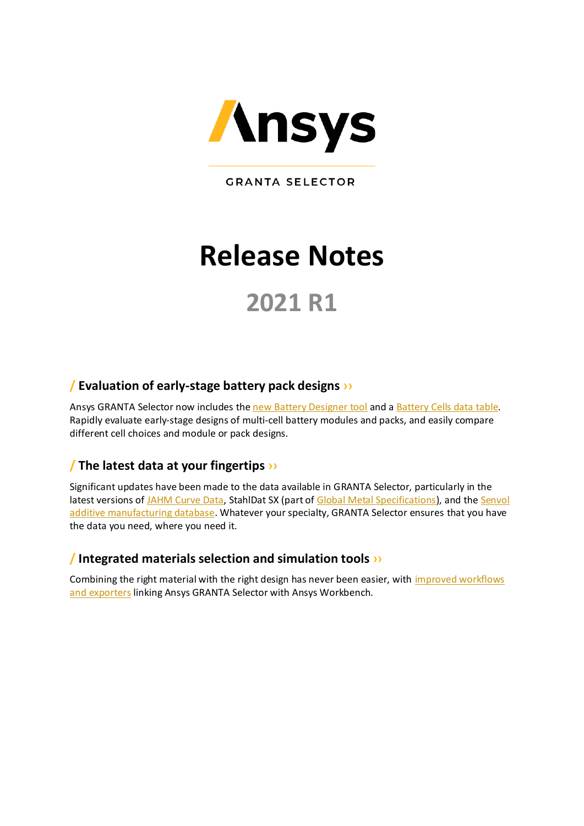

**GRANTA SELECTOR** 

# **Release Notes**

# **2021 R1**

# **[/ Evaluation of early-stage battery pack designs](#page-1-0) ›[›](#page-1-0)**

Ansys GRANTA Selector now includes the [new Battery Designer tool](#page-1-1) and a [Battery Cells data](#page-1-2) table. Rapidly evaluate early-stage designs of multi-cell battery modules and packs, and easily compare different cell choices and module or pack designs.

# **/ The latest data [at your fingertips](#page-2-0) ››**

Significant updates have been made to the data available in GRANTA Selector, particularly in the latest versions o[f JAHM Curve Data,](#page-3-0) StahlDat SX (part o[f Global Metal Specifications\)](#page-4-0), and th[e Senvol](#page-5-0) [additive manufacturing database.](#page-5-0) Whatever your specialty, GRANTA Selector ensures that you have the data you need, where you need it.

# **/ Integrated [materials selection and simulation tools](#page-6-0) ››**

Combining the right material with the right design has never been easier, with improved workflows [and exporters](#page-6-0) linking Ansys GRANTA Selector with Ansys Workbench.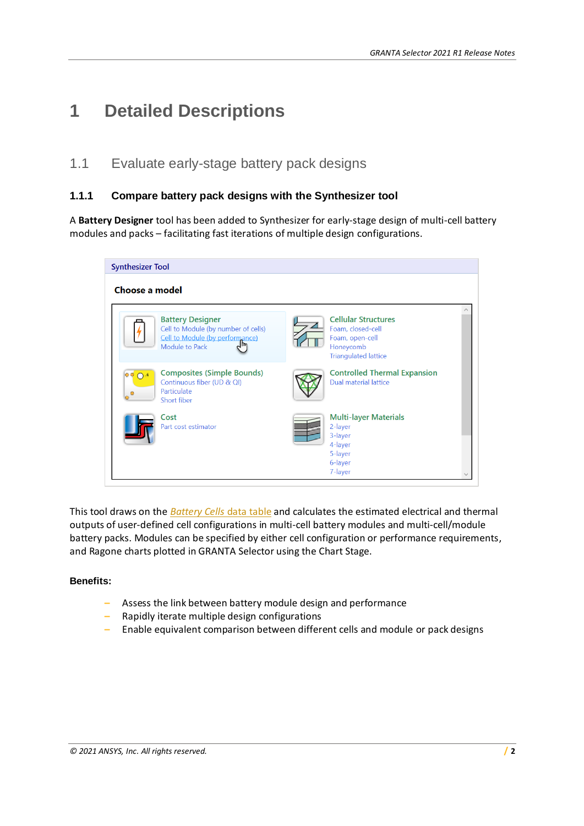# **1 Detailed Descriptions**

# <span id="page-1-0"></span>1.1 Evaluate early-stage battery pack designs

#### <span id="page-1-1"></span>**1.1.1 Compare battery pack designs with the Synthesizer tool**

A **Battery Designer** tool has been added to Synthesizer for early-stage design of multi-cell battery modules and packs – facilitating fast iterations of multiple design configurations.



This tool draws on the *[Battery Cells](#page-1-2)* data table and calculates the estimated electrical and thermal outputs of user-defined cell configurations in multi-cell battery modules and multi-cell/module battery packs. Modules can be specified by either cell configuration or performance requirements, and Ragone charts plotted in GRANTA Selector using the Chart Stage.

#### **Benefits:**

- **–** Assess the link between battery module design and performance
- **–** Rapidly iterate multiple design configurations
- <span id="page-1-2"></span>**–** Enable equivalent comparison between different cells and module or pack designs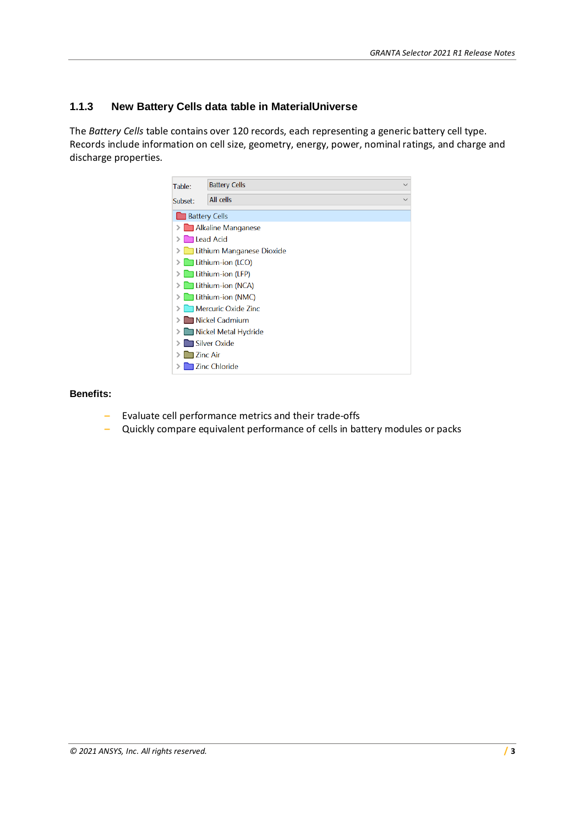#### **1.1.3 New Battery Cells data table in MaterialUniverse**

The *Battery Cells* table contains over 120 records, each representing a generic battery cell type. Records include information on cell size, geometry, energy, power, nominal ratings, and charge and discharge properties.



#### **Benefits:**

- **–** Evaluate cell performance metrics and their trade-offs
- <span id="page-2-0"></span>**–** Quickly compare equivalent performance of cells in battery modules or packs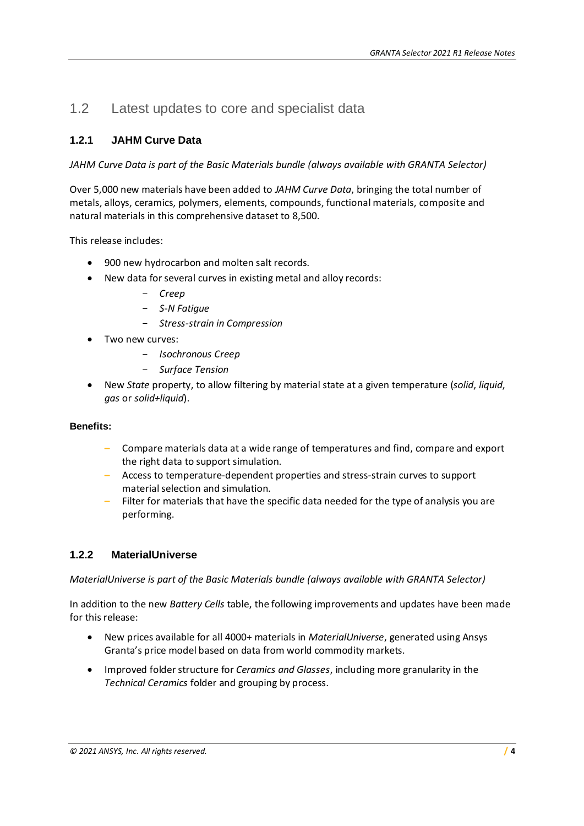# 1.2 Latest updates to core and specialist data

#### <span id="page-3-0"></span>**1.2.1 JAHM Curve Data**

*JAHM Curve Data is part of the Basic Materials bundle (always available with GRANTA Selector)*

Over 5,000 new materials have been added to *JAHM Curve Data*, bringing the total number of metals, alloys, ceramics, polymers, elements, compounds, functional materials, composite and natural materials in this comprehensive dataset to 8,500.

This release includes:

- 900 new hydrocarbon and molten salt records.
- New data for several curves in existing metal and alloy records:
	- *Creep*
	- *S-N Fatigue*
	- *Stress-strain in Compression*
	- Two new curves:
		- *Isochronous Creep*
		- *Surface Tension*
- New *State* property, to allow filtering by material state at a given temperature (*solid*, *liquid*, *gas* or *solid+liquid*).

#### **Benefits:**

- **–** Compare materials data at a wide range of temperatures and find, compare and export the right data to support simulation.
- **–** Access to temperature-dependent properties and stress-strain curves to support material selection and simulation.
- **–** Filter for materials that have the specific data needed for the type of analysis you are performing.

#### **1.2.2 MaterialUniverse**

*MaterialUniverse is part of the Basic Materials bundle (always available with GRANTA Selector)*

In addition to the new *Battery Cells* table, the following improvements and updates have been made for this release:

- New prices available for all 4000+ materials in *MaterialUniverse*, generated using Ansys Granta's price model based on data from world commodity markets.
- Improved folder structure for *Ceramics and Glasses*, including more granularity in the *Technical Ceramics* folder and grouping by process.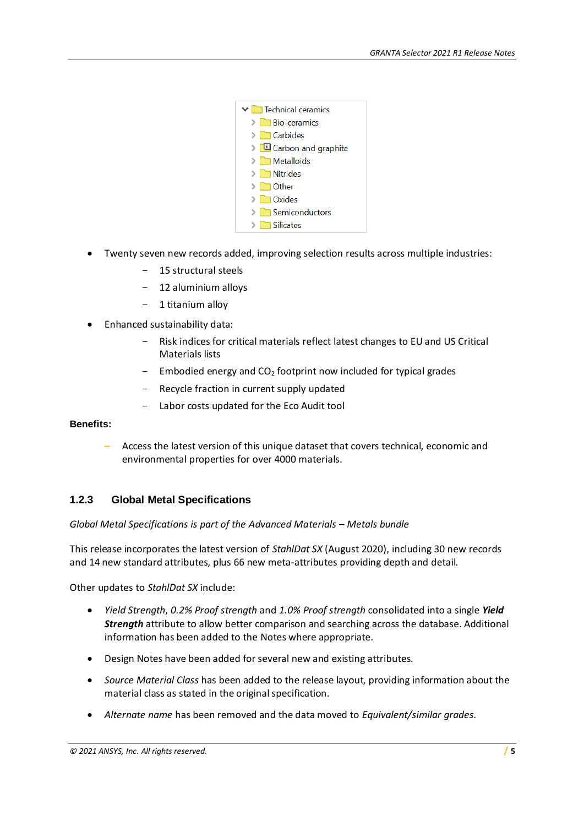

- Twenty seven new records added, improving selection results across multiple industries:
	- 15 structural steels
	- 12 aluminium alloys
	- 1 titanium alloy
- Enhanced sustainability data:
	- Risk indices for critical materials reflect latest changes to EU and US Critical Materials lists
	- Embodied energy and  $CO<sub>2</sub>$  footprint now included for typical grades
	- Recycle fraction in current supply updated
	- Labor costs updated for the Eco Audit tool

#### **Benefits:**

**–** Access the latest version of this unique dataset that covers technical, economic and environmental properties for over 4000 materials.

#### <span id="page-4-0"></span>**1.2.3 Global Metal Specifications**

#### *Global Metal Specifications is part of the Advanced Materials – Metals bundle*

This release incorporates the latest version of *StahlDat SX* (August 2020), including 30 new records and 14 new standard attributes, plus 66 new meta-attributes providing depth and detail.

Other updates to *StahlDat SX* include:

- *Yield Strength*, *0.2% Proof strength* and *1.0% Proof strength* consolidated into a single *Yield Strength* attribute to allow better comparison and searching across the database. Additional information has been added to the Notes where appropriate.
- Design Notes have been added for several new and existing attributes.
- *Source Material Class* has been added to the release layout, providing information about the material class as stated in the original specification.
- *Alternate name* has been removed and the data moved to *Equivalent/similar grades*.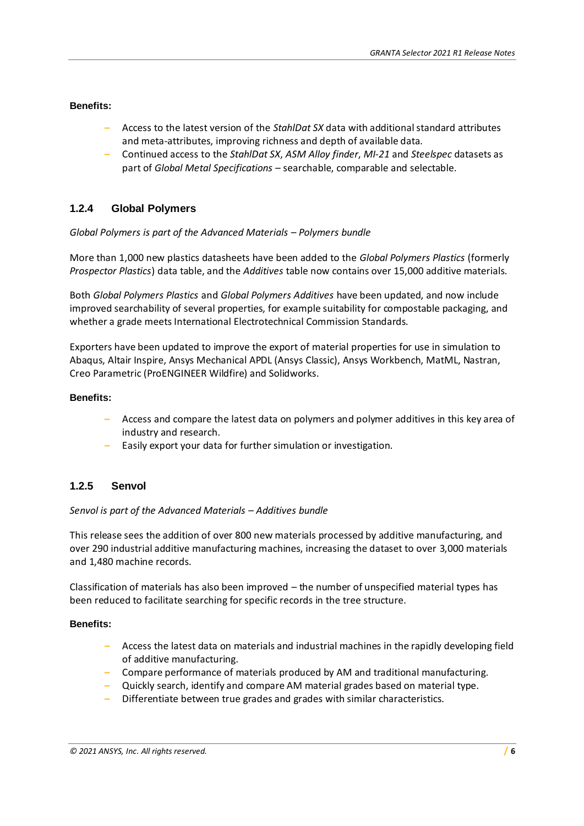#### **Benefits:**

- **–** Access to the latest version of the *StahlDat SX* data with additional standard attributes and meta-attributes, improving richness and depth of available data.
- **–** Continued access to the *StahlDat SX*, *ASM Alloy finder*, *MI-21* and *Steelspec* datasets as part of *Global Metal Specifications* – searchable, comparable and selectable.

#### **1.2.4 Global Polymers**

#### *Global Polymers is part of the Advanced Materials – Polymers bundle*

More than 1,000 new plastics datasheets have been added to the *Global Polymers Plastics* (formerly *Prospector Plastics*) data table, and the *Additives* table now contains over 15,000 additive materials.

Both *Global Polymers Plastics* and *Global Polymers Additives* have been updated, and now include improved searchability of several properties, for example suitability for compostable packaging, and whether a grade meets International Electrotechnical Commission Standards.

Exporters have been updated to improve the export of material properties for use in simulation to Abaqus, Altair Inspire, Ansys Mechanical APDL (Ansys Classic), Ansys Workbench, MatML, Nastran, Creo Parametric (ProENGINEER Wildfire) and Solidworks.

#### **Benefits:**

- **–** Access and compare the latest data on polymers and polymer additives in this key area of industry and research.
- **–** Easily export your data for further simulation or investigation.

#### <span id="page-5-0"></span>**1.2.5 Senvol**

#### *Senvol is part of the Advanced Materials – Additives bundle*

This release sees the addition of over 800 new materials processed by additive manufacturing, and over 290 industrial additive manufacturing machines, increasing the dataset to over 3,000 materials and 1,480 machine records.

Classification of materials has also been improved – the number of unspecified material types has been reduced to facilitate searching for specific records in the tree structure.

#### **Benefits:**

- **–** Access the latest data on materials and industrial machines in the rapidly developing field of additive manufacturing.
- **–** Compare performance of materials produced by AM and traditional manufacturing.
- **–** Quickly search, identify and compare AM material grades based on material type.
- **–** Differentiate between true grades and grades with similar characteristics.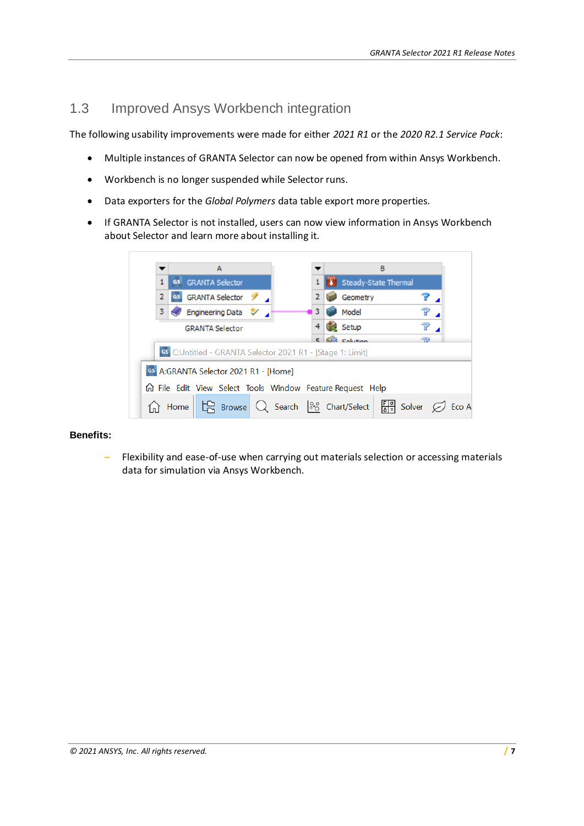# <span id="page-6-0"></span>1.3 Improved Ansys Workbench integration

The following usability improvements were made for either *2021 R1* or the *2020 R2.1 Service Pack*:

- Multiple instances of GRANTA Selector can now be opened from within Ansys Workbench.
- Workbench is no longer suspended while Selector runs.
- Data exporters for the *Global Polymers* data table export more properties.
- If GRANTA Selector is not installed, users can now view information in Ansys Workbench about Selector and learn more about installing it.

|                                                            |                                       |      |                                                              |  |  |  |  |  | в |  |                |  |                                                                                   |  |  |  |  |  |       |
|------------------------------------------------------------|---------------------------------------|------|--------------------------------------------------------------|--|--|--|--|--|---|--|----------------|--|-----------------------------------------------------------------------------------|--|--|--|--|--|-------|
|                                                            |                                       |      | <b>GS GRANTA</b> Selector                                    |  |  |  |  |  |   |  |                |  | Steady-State Thermal                                                              |  |  |  |  |  |       |
|                                                            | $\overline{2}$                        |      | GS GRANTA Selector <b>1</b>                                  |  |  |  |  |  |   |  | $\overline{2}$ |  | Geometry                                                                          |  |  |  |  |  |       |
|                                                            | 3                                     |      | $\blacktriangleright$ Engineering Data $\blacktriangleright$ |  |  |  |  |  |   |  |                |  | Model                                                                             |  |  |  |  |  |       |
|                                                            |                                       |      | <b>GRANTA Selector</b>                                       |  |  |  |  |  |   |  |                |  | Setup                                                                             |  |  |  |  |  |       |
|                                                            |                                       |      |                                                              |  |  |  |  |  |   |  |                |  | Calculian                                                                         |  |  |  |  |  |       |
| GS C:Untitled - GRANTA Selector 2021 R1 - [Stage 1: Limit] |                                       |      |                                                              |  |  |  |  |  |   |  |                |  |                                                                                   |  |  |  |  |  |       |
|                                                            | GS A:GRANTA Selector 2021 R1 - [Home] |      |                                                              |  |  |  |  |  |   |  |                |  |                                                                                   |  |  |  |  |  |       |
|                                                            |                                       |      |                                                              |  |  |  |  |  |   |  |                |  | 价 File Edit View Select Tools Window Feature Request Help                         |  |  |  |  |  |       |
|                                                            |                                       | Home |                                                              |  |  |  |  |  |   |  |                |  | $\mathbb{R}$ Browse Q Search $\frac{80}{60}$ Chart/Select $\frac{F[g]}{6}$ Solver |  |  |  |  |  | Eco A |

#### **Benefits:**

**–** Flexibility and ease-of-use when carrying out materials selection or accessing materials data for simulation via Ansys Workbench.